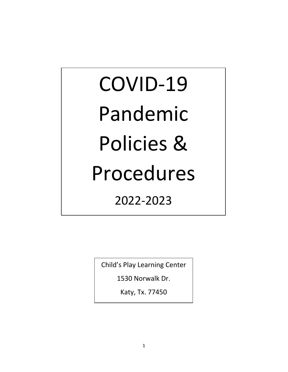# COVID-19 Pandemic Policies & Procedures 2022-2023

Child's Play Learning Center

1530 Norwalk Dr.

Katy, Tx. 77450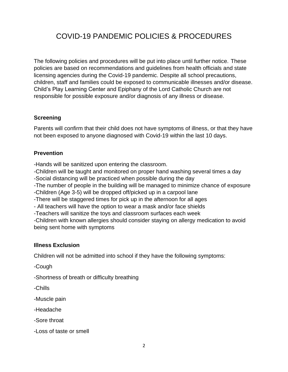# COVID-19 PANDEMIC POLICIES & PROCEDURES

The following policies and procedures will be put into place until further notice. These policies are based on recommendations and guidelines from health officials and state licensing agencies during the Covid-19 pandemic. Despite all school precautions, children, staff and families could be exposed to communicable illnesses and/or disease. Child's Play Learning Center and Epiphany of the Lord Catholic Church are not responsible for possible exposure and/or diagnosis of any illness or disease.

#### **Screening**

Parents will confirm that their child does not have symptoms of illness, or that they have not been exposed to anyone diagnosed with Covid-19 within the last 10 days.

#### **Prevention**

-Hands will be sanitized upon entering the classroom.

-Children will be taught and monitored on proper hand washing several times a day

-Social distancing will be practiced when possible during the day

-The number of people in the building will be managed to minimize chance of exposure

-Children (Age 3-5) will be dropped off/picked up in a carpool lane

-There will be staggered times for pick up in the afternoon for all ages

- All teachers will have the option to wear a mask and/or face shields

-Teachers will sanitize the toys and classroom surfaces each week

-Children with known allergies should consider staying on allergy medication to avoid being sent home with symptoms

# **Illness Exclusion**

Children will not be admitted into school if they have the following symptoms:

-Cough

-Shortness of breath or difficulty breathing

-Chills

-Muscle pain

-Headache

-Sore throat

-Loss of taste or smell